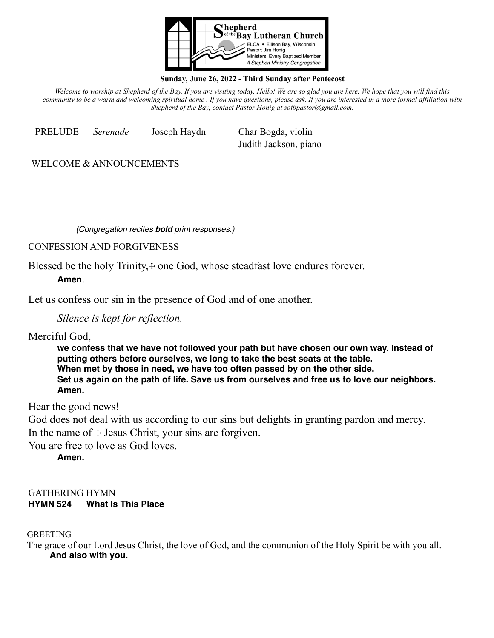

#### **Sunday, June 26, 2022 - Third Sunday after Pentecost**

*Welcome to worship at Shepherd of the Bay. If you are visiting today, Hello! We are so glad you are here. We hope that you will find this community to be a warm and welcoming spiritual home . If you have questions, please ask. If you are interested in a more formal affiliation with Shepherd of the Bay, contact Pastor Honig at sotbpastor@gmail.com.*

PRELUDE *Serenade* Joseph Haydn Char Bogda, violin Judith Jackson, piano

WELCOME & ANNOUNCEMENTS

*(Congregation recites bold print responses.)* 

CONFESSION AND FORGIVENESS

Blessed be the holy Trinity, + one God, whose steadfast love endures forever.

**Amen**.

Let us confess our sin in the presence of God and of one another.

*Silence is kept for reflection.*

Merciful God,

**we confess that we have not followed your path but have chosen our own way. Instead of putting others before ourselves, we long to take the best seats at the table. When met by those in need, we have too often passed by on the other side. Set us again on the path of life. Save us from ourselves and free us to love our neighbors. Amen.** 

Hear the good news!

God does not deal with us according to our sins but delights in granting pardon and mercy. In the name of  $+$  Jesus Christ, your sins are forgiven.

You are free to love as God loves.

**Amen.** 

GATHERING HYMN **HYMN 524 What Is This Place**

GREETING

The grace of our Lord Jesus Christ, the love of God, and the communion of the Holy Spirit be with you all. **And also with you.**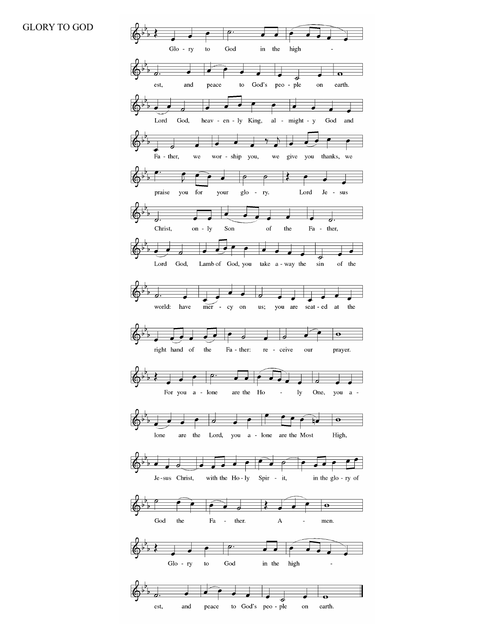#### GLORY TO GOD

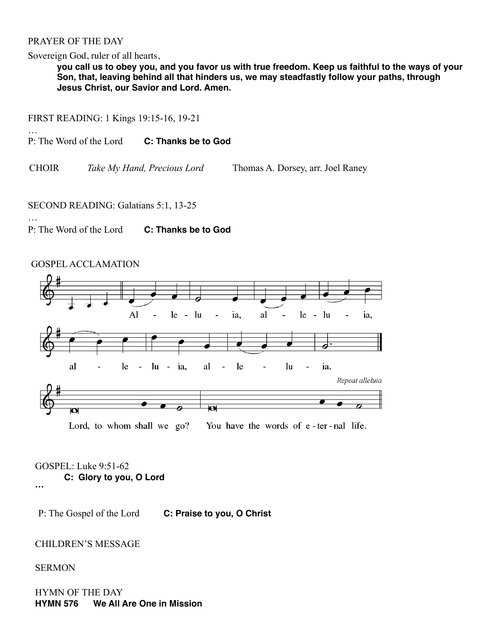### PRAYER OF THE DAY

…

…

Sovereign God, ruler of all hearts,

**you call us to obey you, and you favor us with true freedom. Keep us faithful to the ways of your Son, that, leaving behind all that hinders us, we may steadfastly follow your paths, through Jesus Christ, our Savior and Lord. Amen.**

FIRST READING: 1 Kings 19:15-16, 19-21

P: The Word of the Lord **C: Thanks be to God**

CHOIR *Take My Hand, Precious Lord* Thomas A. Dorsey, arr. Joel Raney

#### SECOND READING: Galatians 5:1, 13-25

P: The Word of the Lord **C: Thanks be to God**

# GOSPEL ACCLAMATION



Lord, to whom shall we go? You have the words of e-ter-nal life.

GOSPEL: Luke 9:51-62 **C: Glory to you, O Lord …** 

P: The Gospel of the Lord **C: Praise to you, O Christ**

#### CHILDREN'S MESSAGE

#### **SERMON**

HYMN OF THE DAY **HYMN 576 We All Are One in Mission**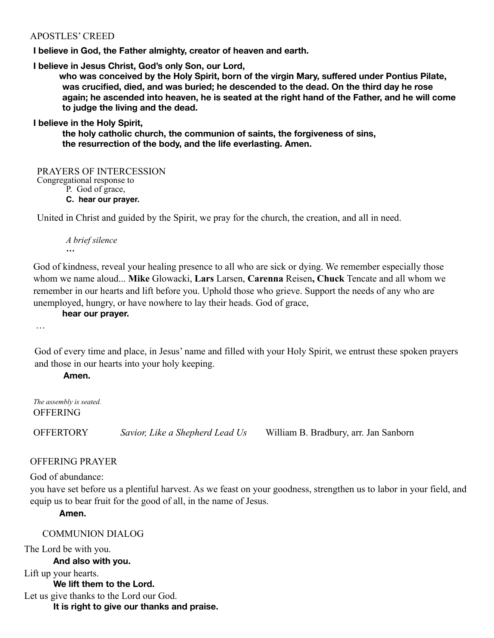# APOSTLES' CREED

**I believe in God, the Father almighty, creator of heaven and earth.** 

**I believe in Jesus Christ, God's only Son, our Lord,**

**who was conceived by the Holy Spirit, born of the virgin Mary, suffered under Pontius Pilate, was crucified, died, and was buried; he descended to the dead. On the third day he rose again; he ascended into heaven, he is seated at the right hand of the Father, and he will come to judge the living and the dead.**

**I believe in the Holy Spirit,**

**the holy catholic church, the communion of saints, the forgiveness of sins, the resurrection of the body, and the life everlasting. Amen.**

PRAYERS OF INTERCESSION Congregational response to

P. God of grace,

**C. hear our prayer.** 

United in Christ and guided by the Spirit, we pray for the church, the creation, and all in need.

*A brief silence* **…** 

God of kindness, reveal your healing presence to all who are sick or dying. We remember especially those whom we name aloud... **Mike** Glowacki, **Lars** Larsen, **Carenna** Reisen**, Chuck** Tencate and all whom we remember in our hearts and lift before you. Uphold those who grieve. Support the needs of any who are unemployed, hungry, or have nowhere to lay their heads. God of grace,

**hear our prayer.** 

…

God of every time and place, in Jesus' name and filled with your Holy Spirit, we entrust these spoken prayers and those in our hearts into your holy keeping.

**Amen.**

*The assembly is seated.* **OFFERING** 

OFFERTORY *Savior, Like a Shepherd Lead Us* William B. Bradbury, arr. Jan Sanborn

# OFFERING PRAYER

God of abundance:

you have set before us a plentiful harvest. As we feast on your goodness, strengthen us to labor in your field, and equip us to bear fruit for the good of all, in the name of Jesus.

**Amen.**

## COMMUNION DIALOG

The Lord be with you. **And also with you.** Lift up your hearts. **We lift them to the Lord.**  Let us give thanks to the Lord our God. **It is right to give our thanks and praise.**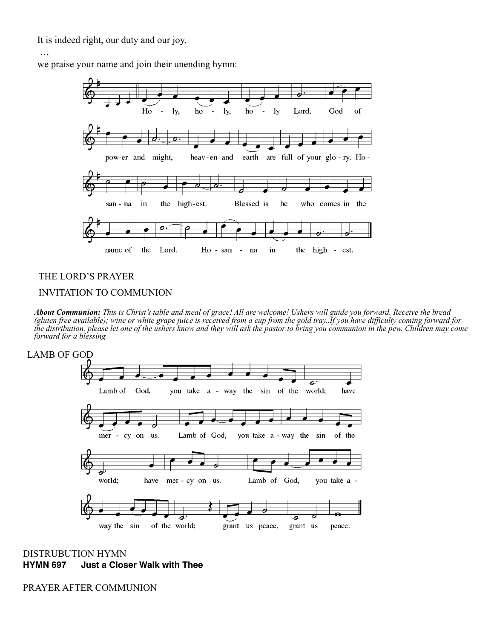It is indeed right, our duty and our joy,

#### …

we praise your name and join their unending hymn:



# THE LORD'S PRAYER INVITATION TO COMMUNION

*About Communion: This is Christ's table and meal of grace! All are welcome! Ushers will guide you forward. Receive the bread (gluten free available); wine or white grape juice is received from a cup from the gold tray..If you have difficulty coming forward for the distribution, please let one of the ushers know and they will ask the pastor to bring you communion in the pew. Children may come forward for a blessing*



DISTRUBUTION HYMN **HYMN 697 Just a Closer Walk with Thee**

PRAYER AFTER COMMUNION